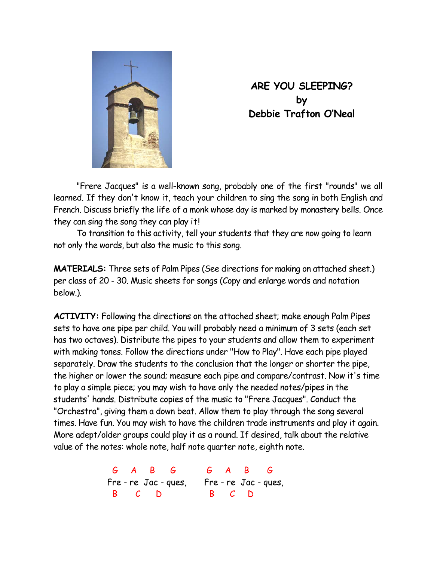

**ARE YOU SLEEPING? by Debbie Trafton O'Neal** 

 "Frere Jacques" is a well-known song, probably one of the first "rounds" we all learned. If they don't know it, teach your children to sing the song in both English and French. Discuss briefly the life of a monk whose day is marked by monastery bells. Once they can sing the song they can play it!

 To transition to this activity, tell your students that they are now going to learn not only the words, but also the music to this song.

**MATERIALS:** Three sets of Palm Pipes (See directions for making on attached sheet.) per class of 20 - 30. Music sheets for songs (Copy and enlarge words and notation below.).

**ACTIVITY:** Following the directions on the attached sheet; make enough Palm Pipes sets to have one pipe per child. You will probably need a minimum of 3 sets (each set has two octaves). Distribute the pipes to your students and allow them to experiment with making tones. Follow the directions under "How to Play". Have each pipe played separately. Draw the students to the conclusion that the longer or shorter the pipe, the higher or lower the sound; measure each pipe and compare/contrast. Now it's time to play a simple piece; you may wish to have only the needed notes/pipes in the students' hands. Distribute copies of the music to "Frere Jacques". Conduct the "Orchestra", giving them a down beat. Allow them to play through the song several times. Have fun. You may wish to have the children trade instruments and play it again. More adept/older groups could play it as a round. If desired, talk about the relative value of the notes: whole note, half note quarter note, eighth note.

> G A B G G A B G Fre - re Jac - ques, Fre - re Jac - ques, B C D B C D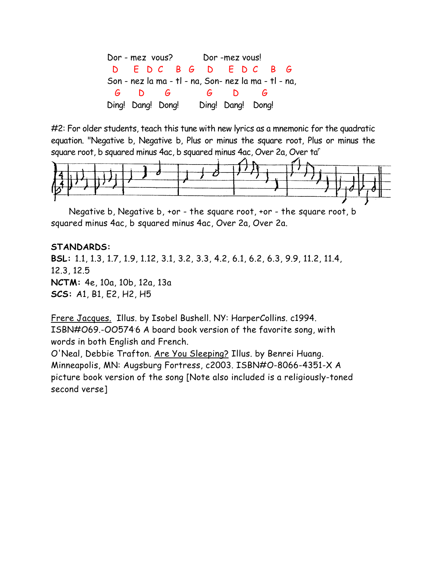Dor - mez vous? Dor -mez vous! D E D C B G D E D C B G Son - nez la ma - tl - na, Son- nez la ma - tl - na, G D G G D G Ding! Dang! Dong! Ding! Dang! Dong!

#2: For older students, teach this tune with new lyrics as a mnemonic for the quadratic equation. "Negative b, Negative b, Plus or minus the square root, Plus or minus the square root, b squared minus 4ac, b squared minus 4ac, Over 2a, Over ta<sup>r</sup>



Negative b, Negative b, +or - the square root, +or - the square root, b squared minus 4ac, b squared minus 4ac, Over 2a, Over 2a.

## **STANDARDS:**

**BSL:** 1.1, 1.3, 1.7, 1.9, 1.12, 3.1, 3.2, 3.3, 4.2, 6.1, 6.2, 6.3, 9.9, 11.2, 11.4, 12.3, 12.5 **NCTM:** 4e, 10a, 10b, 12a, 13a **SCS:** A1, B1, E2, H2, H5

Frere Jacques. Illus. by Isobel Bushell. NY: HarperCollins. c1994. ISBN#069.-005746 A board book version of the favorite song, with words in both English and French.

O'Neal, Debbie Trafton. Are You Sleeping? Illus. by Benrei Huang. Minneapolis, MN: Augsburg Fortress, c2003. ISBN#O-8066-4351-X A picture book version of the song [Note also included is a religiously-toned second verse]